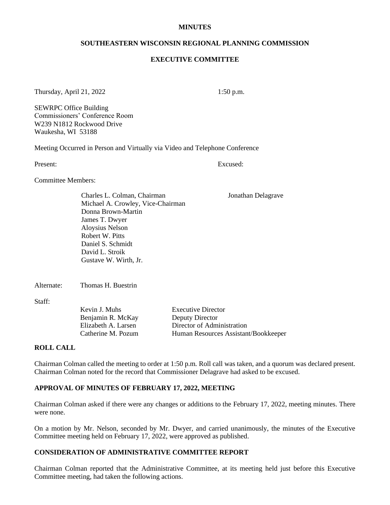#### **MINUTES**

#### **SOUTHEASTERN WISCONSIN REGIONAL PLANNING COMMISSION**

#### **EXECUTIVE COMMITTEE**

Thursday, April 21, 2022 1:50 p.m.

SEWRPC Office Building Commissioners' Conference Room W239 N1812 Rockwood Drive Waukesha, WI 53188

Meeting Occurred in Person and Virtually via Video and Telephone Conference

Present: Excused:

Committee Members:

Charles L. Colman, Chairman Jonathan Delagrave Michael A. Crowley, Vice-Chairman Donna Brown-Martin James T. Dwyer Aloysius Nelson Robert W. Pitts Daniel S. Schmidt David L. Stroik Gustave W. Wirth, Jr.

Alternate: Thomas H. Buestrin

Staff:

Benjamin R. McKay Deputy Director

Kevin J. Muhs Executive Director Elizabeth A. Larsen Director of Administration Catherine M. Pozum Human Resources Assistant/Bookkeeper

#### **ROLL CALL**

Chairman Colman called the meeting to order at 1:50 p.m*.* Roll call was taken, and a quorum was declared present. Chairman Colman noted for the record that Commissioner Delagrave had asked to be excused.

## **APPROVAL OF MINUTES OF FEBRUARY 17, 2022, MEETING**

Chairman Colman asked if there were any changes or additions to the February 17, 2022, meeting minutes. There were none.

On a motion by Mr. Nelson, seconded by Mr. Dwyer, and carried unanimously, the minutes of the Executive Committee meeting held on February 17, 2022, were approved as published.

# **CONSIDERATION OF ADMINISTRATIVE COMMITTEE REPORT**

Chairman Colman reported that the Administrative Committee, at its meeting held just before this Executive Committee meeting, had taken the following actions.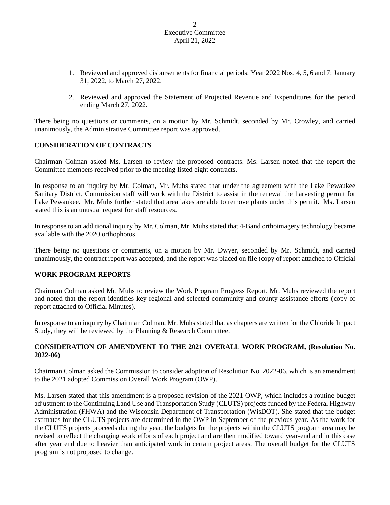### -2- Executive Committee April 21, 2022

- 1. Reviewed and approved disbursements for financial periods: Year 2022 Nos. 4, 5, 6 and 7: January 31, 2022, to March 27, 2022.
- 2. Reviewed and approved the Statement of Projected Revenue and Expenditures for the period ending March 27, 2022.

There being no questions or comments, on a motion by Mr. Schmidt, seconded by Mr. Crowley, and carried unanimously, the Administrative Committee report was approved.

# **CONSIDERATION OF CONTRACTS**

Chairman Colman asked Ms. Larsen to review the proposed contracts. Ms. Larsen noted that the report the Committee members received prior to the meeting listed eight contracts.

In response to an inquiry by Mr. Colman, Mr. Muhs stated that under the agreement with the Lake Pewaukee Sanitary District, Commission staff will work with the District to assist in the renewal the harvesting permit for Lake Pewaukee. Mr. Muhs further stated that area lakes are able to remove plants under this permit. Ms. Larsen stated this is an unusual request for staff resources.

In response to an additional inquiry by Mr. Colman, Mr. Muhs stated that 4-Band orthoimagery technology became available with the 2020 orthophotos.

There being no questions or comments, on a motion by Mr. Dwyer, seconded by Mr. Schmidt, and carried unanimously, the contract report was accepted, and the report was placed on file (copy of report attached to Official

## **WORK PROGRAM REPORTS**

Chairman Colman asked Mr. Muhs to review the Work Program Progress Report. Mr. Muhs reviewed the report and noted that the report identifies key regional and selected community and county assistance efforts (copy of report attached to Official Minutes).

In response to an inquiry by Chairman Colman, Mr. Muhs stated that as chapters are written for the Chloride Impact Study, they will be reviewed by the Planning & Research Committee.

## **CONSIDERATION OF AMENDMENT TO THE 2021 OVERALL WORK PROGRAM, (Resolution No. 2022-06)**

Chairman Colman asked the Commission to consider adoption of Resolution No. 2022-06, which is an amendment to the 2021 adopted Commission Overall Work Program (OWP).

Ms. Larsen stated that this amendment is a proposed revision of the 2021 OWP, which includes a routine budget adjustment to the Continuing Land Use and Transportation Study (CLUTS) projects funded by the Federal Highway Administration (FHWA) and the Wisconsin Department of Transportation (WisDOT). She stated that the budget estimates for the CLUTS projects are determined in the OWP in September of the previous year. As the work for the CLUTS projects proceeds during the year, the budgets for the projects within the CLUTS program area may be revised to reflect the changing work efforts of each project and are then modified toward year-end and in this case after year end due to heavier than anticipated work in certain project areas. The overall budget for the CLUTS program is not proposed to change.